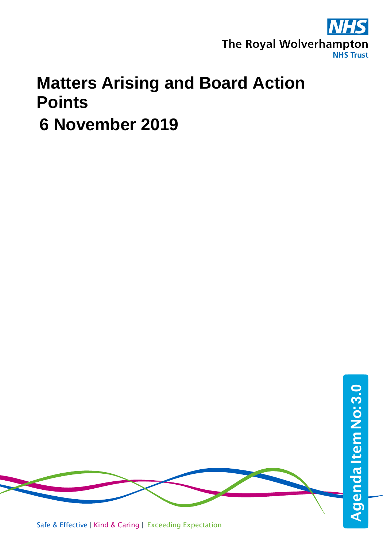

## **Matters Arising and Board Action Points**

 **6 November 2019**